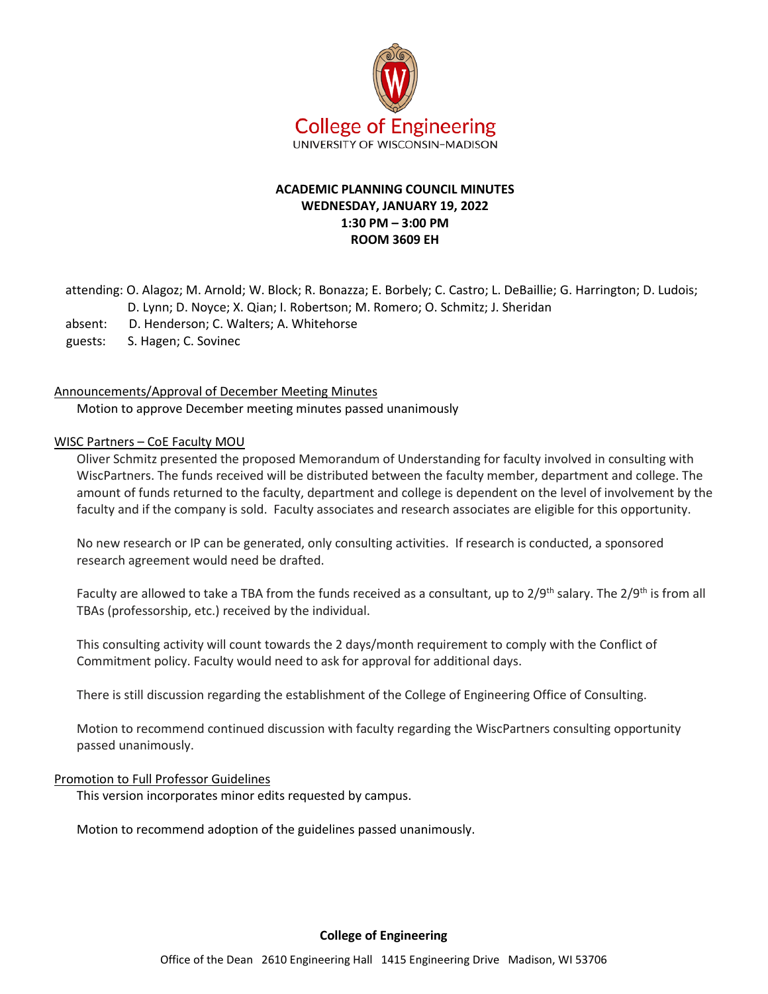

# **ACADEMIC PLANNING COUNCIL MINUTES WEDNESDAY, JANUARY 19, 2022 1:30 PM – 3:00 PM ROOM 3609 EH**

attending: O. Alagoz; M. Arnold; W. Block; R. Bonazza; E. Borbely; C. Castro; L. DeBaillie; G. Harrington; D. Ludois; D. Lynn; D. Noyce; X. Qian; I. Robertson; M. Romero; O. Schmitz; J. Sheridan

- absent: D. Henderson; C. Walters; A. Whitehorse
- guests: S. Hagen; C. Sovinec

#### Announcements/Approval of December Meeting Minutes

Motion to approve December meeting minutes passed unanimously

#### WISC Partners – CoE Faculty MOU

Oliver Schmitz presented the proposed Memorandum of Understanding for faculty involved in consulting with WiscPartners. The funds received will be distributed between the faculty member, department and college. The amount of funds returned to the faculty, department and college is dependent on the level of involvement by the faculty and if the company is sold. Faculty associates and research associates are eligible for this opportunity.

No new research or IP can be generated, only consulting activities. If research is conducted, a sponsored research agreement would need be drafted.

Faculty are allowed to take a TBA from the funds received as a consultant, up to 2/9<sup>th</sup> salary. The 2/9<sup>th</sup> is from all TBAs (professorship, etc.) received by the individual.

This consulting activity will count towards the 2 days/month requirement to comply with the Conflict of Commitment policy. Faculty would need to ask for approval for additional days.

There is still discussion regarding the establishment of the College of Engineering Office of Consulting.

Motion to recommend continued discussion with faculty regarding the WiscPartners consulting opportunity passed unanimously.

#### Promotion to Full Professor Guidelines

This version incorporates minor edits requested by campus.

Motion to recommend adoption of the guidelines passed unanimously.

#### **College of Engineering**